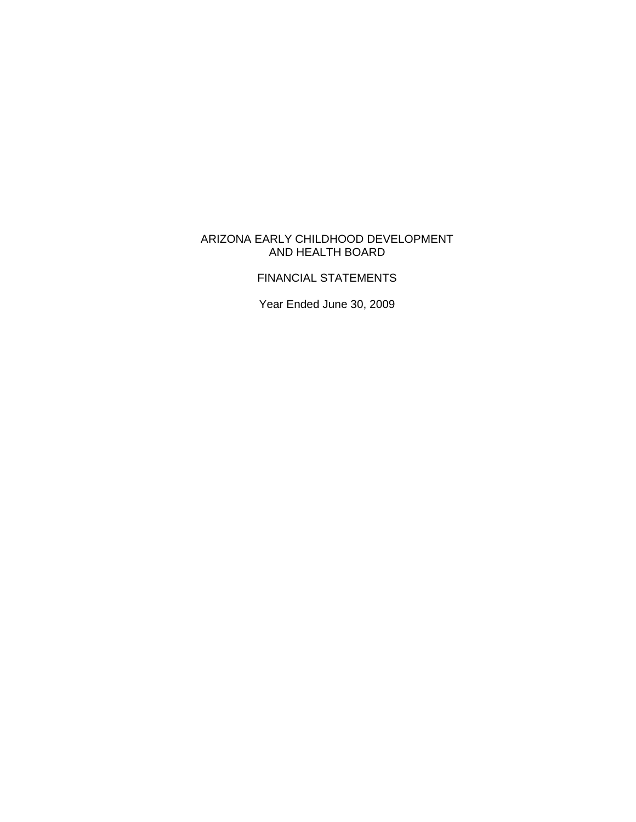## ARIZONA EARLY CHILDHOOD DEVELOPMENT AND HEALTH BOARD

## FINANCIAL STATEMENTS

Year Ended June 30, 2009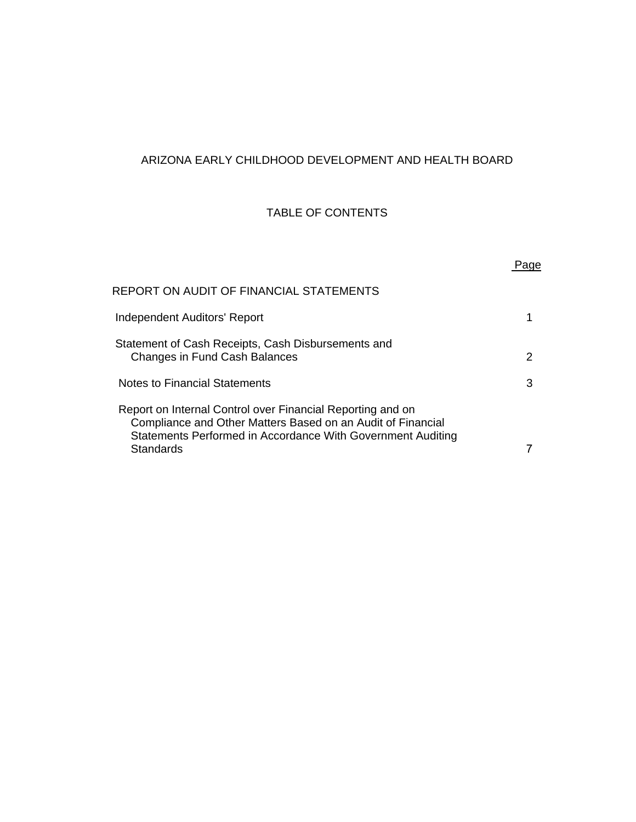# ARIZONA EARLY CHILDHOOD DEVELOPMENT AND HEALTH BOARD

## TABLE OF CONTENTS

| REPORT ON AUDIT OF FINANCIAL STATEMENTS<br>Independent Auditors' Report<br>Statement of Cash Receipts, Cash Disbursements and<br>Changes in Fund Cash Balances<br>2<br>Notes to Financial Statements<br>3<br>Report on Internal Control over Financial Reporting and on<br>Compliance and Other Matters Based on an Audit of Financial<br>Statements Performed in Accordance With Government Auditing<br>Standards |  |
|--------------------------------------------------------------------------------------------------------------------------------------------------------------------------------------------------------------------------------------------------------------------------------------------------------------------------------------------------------------------------------------------------------------------|--|
|                                                                                                                                                                                                                                                                                                                                                                                                                    |  |
|                                                                                                                                                                                                                                                                                                                                                                                                                    |  |
|                                                                                                                                                                                                                                                                                                                                                                                                                    |  |
|                                                                                                                                                                                                                                                                                                                                                                                                                    |  |
|                                                                                                                                                                                                                                                                                                                                                                                                                    |  |
|                                                                                                                                                                                                                                                                                                                                                                                                                    |  |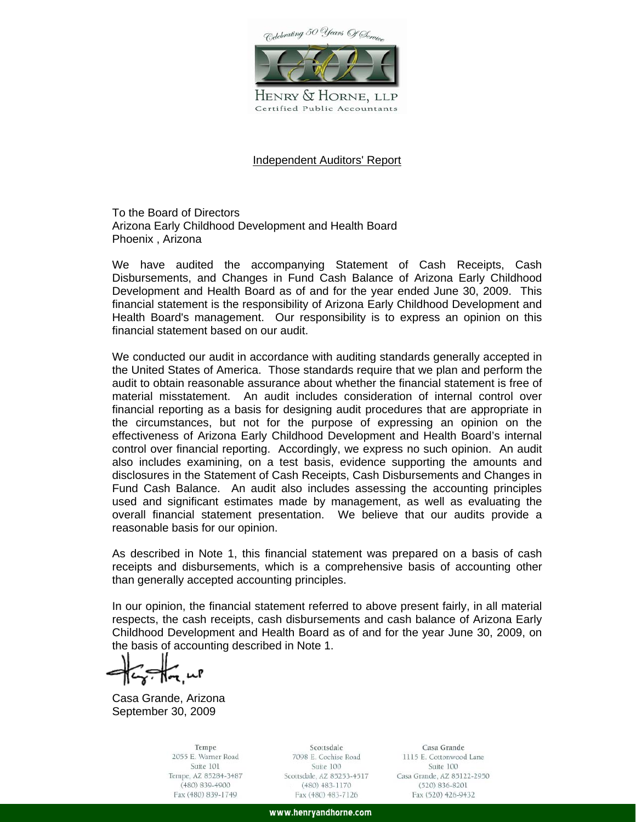Colebrating 50 Years Of Service



HENRY & HORNE, LLP Certified Public Accountants

#### Independent Auditors' Report

To the Board of Directors Arizona Early Childhood Development and Health Board Phoenix , Arizona

We have audited the accompanying Statement of Cash Receipts, Cash Disbursements, and Changes in Fund Cash Balance of Arizona Early Childhood Development and Health Board as of and for the year ended June 30, 2009. This financial statement is the responsibility of Arizona Early Childhood Development and Health Board's management. Our responsibility is to express an opinion on this financial statement based on our audit.

We conducted our audit in accordance with auditing standards generally accepted in the United States of America. Those standards require that we plan and perform the audit to obtain reasonable assurance about whether the financial statement is free of material misstatement. An audit includes consideration of internal control over financial reporting as a basis for designing audit procedures that are appropriate in the circumstances, but not for the purpose of expressing an opinion on the effectiveness of Arizona Early Childhood Development and Health Board's internal control over financial reporting. Accordingly, we express no such opinion. An audit also includes examining, on a test basis, evidence supporting the amounts and disclosures in the Statement of Cash Receipts, Cash Disbursements and Changes in Fund Cash Balance. An audit also includes assessing the accounting principles used and significant estimates made by management, as well as evaluating the overall financial statement presentation. We believe that our audits provide a reasonable basis for our opinion.

As described in Note 1, this financial statement was prepared on a basis of cash receipts and disbursements, which is a comprehensive basis of accounting other than generally accepted accounting principles.

In our opinion, the financial statement referred to above present fairly, in all material respects, the cash receipts, cash disbursements and cash balance of Arizona Early Childhood Development and Health Board as of and for the year June 30, 2009, on the basis of accounting described in Note 1.

 $\sqrt[2]{\pi}$ up

Casa Grande, Arizona September 30, 2009

Tempe 2055 E. Warner Road Suite 101 Tempe, AZ 85284-3487  $(480) 839 - 4900$ Fax (480) 839-1749

Scottsdale 7098 E. Cochise Road Suite 100 Scottsdale, AZ 85253-4517 (480) 483-1170 Fax (480) 483-7126

Casa Grande 1115 E. Cottonwood Lane Suite 100 Casa Grande, AZ 85122-2950  $(520) 836 - 8201$ Fax (520) 426-9432

www.henryandhorne.com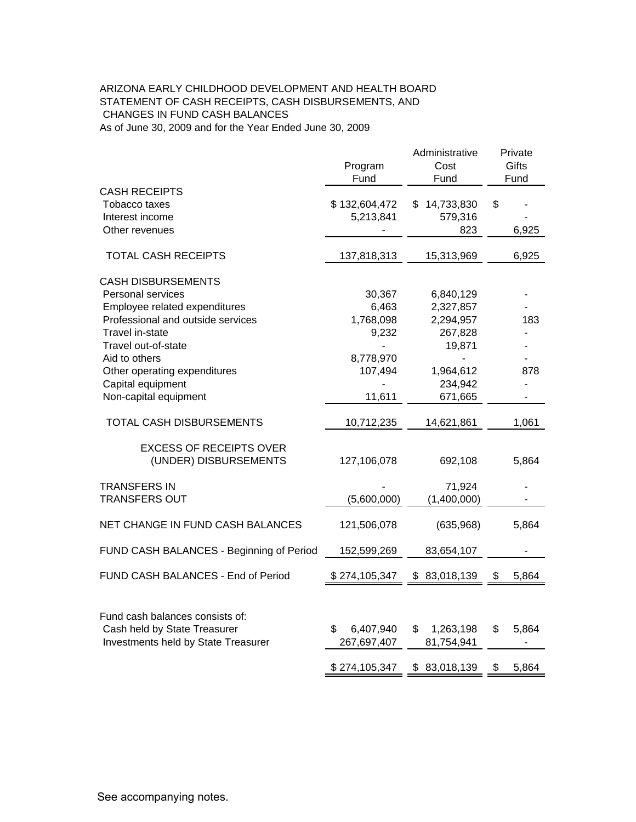#### CHANGES IN FUND CASH BALANCES As of June 30, 2009 and for the Year Ended June 30, 2009 ARIZONA EARLY CHILDHOOD DEVELOPMENT AND HEALTH BOARD STATEMENT OF CASH RECEIPTS, CASH DISBURSEMENTS, AND

|                                                   | Program<br>Fund            | Administrative<br>Cost<br>Fund | Private<br>Gifts<br>Fund |       |
|---------------------------------------------------|----------------------------|--------------------------------|--------------------------|-------|
| CASH RECEIPTS<br>Tobacco taxes<br>Interest income | \$132,604,472<br>5,213,841 | 14,733,830<br>\$.<br>579,316   | \$                       |       |
| Other revenues                                    |                            | 823                            |                          | 6,925 |
| <b>TOTAL CASH RECEIPTS</b>                        | 137,818,313                | 15,313,969                     |                          | 6,925 |
| <b>CASH DISBURSEMENTS</b>                         |                            |                                |                          |       |
| <b>Personal services</b>                          | 30,367                     | 6,840,129                      |                          |       |
| Employee related expenditures                     | 6,463                      | 2,327,857                      |                          |       |
| Professional and outside services                 | 1,768,098                  | 2,294,957                      |                          | 183   |
| Travel in-state                                   | 9,232                      | 267,828                        |                          |       |
| Travel out-of-state                               |                            | 19,871                         |                          |       |
| Aid to others                                     | 8,778,970                  |                                |                          |       |
| Other operating expenditures                      | 107,494                    | 1,964,612                      |                          | 878   |
| Capital equipment                                 |                            | 234,942                        |                          |       |
| Non-capital equipment                             | 11,611                     | 671,665                        |                          |       |
| TOTAL CASH DISBURSEMENTS                          | 10,712,235                 | 14,621,861                     |                          | 1,061 |
| <b>EXCESS OF RECEIPTS OVER</b>                    |                            |                                |                          |       |
| (UNDER) DISBURSEMENTS                             | 127,106,078                | 692,108                        |                          | 5,864 |
| TRANSFERS IN                                      |                            | 71,924                         |                          |       |
| <b>TRANSFERS OUT</b>                              | (5,600,000)                | (1,400,000)                    |                          |       |
| NET CHANGE IN FUND CASH BALANCES                  | 121,506,078                | (635,968)                      |                          | 5,864 |
| FUND CASH BALANCES - Beginning of Period          | 152,599,269                | 83,654,107                     |                          |       |
| FUND CASH BALANCES - End of Period                | \$274,105,347              | \$<br>83,018,139               | \$                       | 5,864 |
|                                                   |                            |                                |                          |       |
| Fund cash balances consists of:                   |                            |                                |                          |       |
| Cash held by State Treasurer                      | 6,407,940<br>\$            | \$<br>1,263,198                | \$                       | 5,864 |
| Investments held by State Treasurer               | 267,697,407                | 81,754,941                     |                          |       |
|                                                   | \$274,105,347              | \$83,018,139                   | \$                       | 5,864 |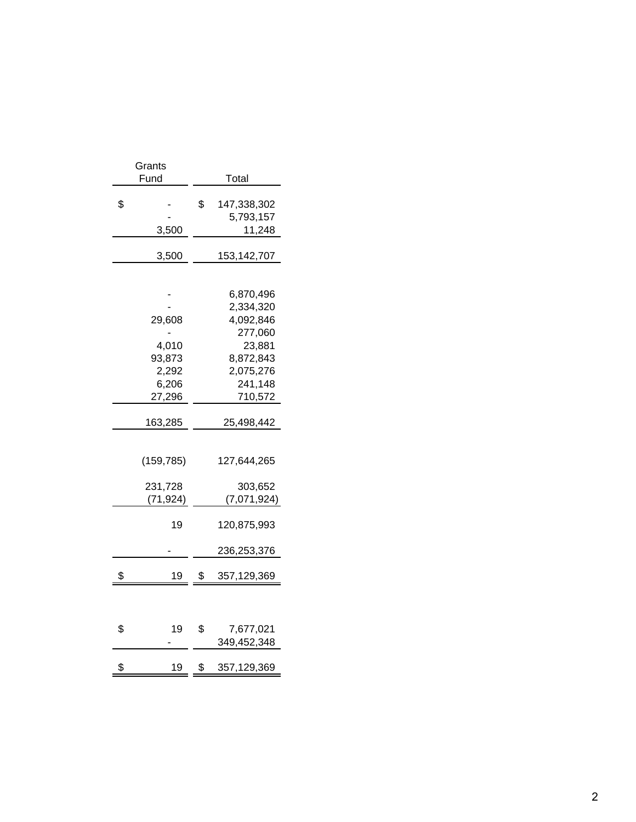| Grants<br>Fund                                        | Total                                                                                                    |
|-------------------------------------------------------|----------------------------------------------------------------------------------------------------------|
| \$<br>3,500                                           | \$<br>147,338,302<br>5,793,157<br>11,248                                                                 |
| 3,500                                                 | 153,142,707                                                                                              |
| 29,608<br>4,010<br>93,873<br>2,292<br>6,206<br>27,296 | 6,870,496<br>2,334,320<br>4,092,846<br>277,060<br>23,881<br>8,872,843<br>2,075,276<br>241,148<br>710,572 |
| 163,285                                               | 25,498,442                                                                                               |
| (159, 785)<br>231,728<br>(71, 924)                    | 127,644,265<br>303,652<br>(7,071,924)                                                                    |
| 19                                                    | 120,875,993<br>236,253,376                                                                               |
| \$<br>19                                              | \$<br>357,129,369                                                                                        |
| \$<br>19                                              | \$<br>7,677,021<br>349,452,348                                                                           |
| \$<br>19                                              | \$<br>357,129,369                                                                                        |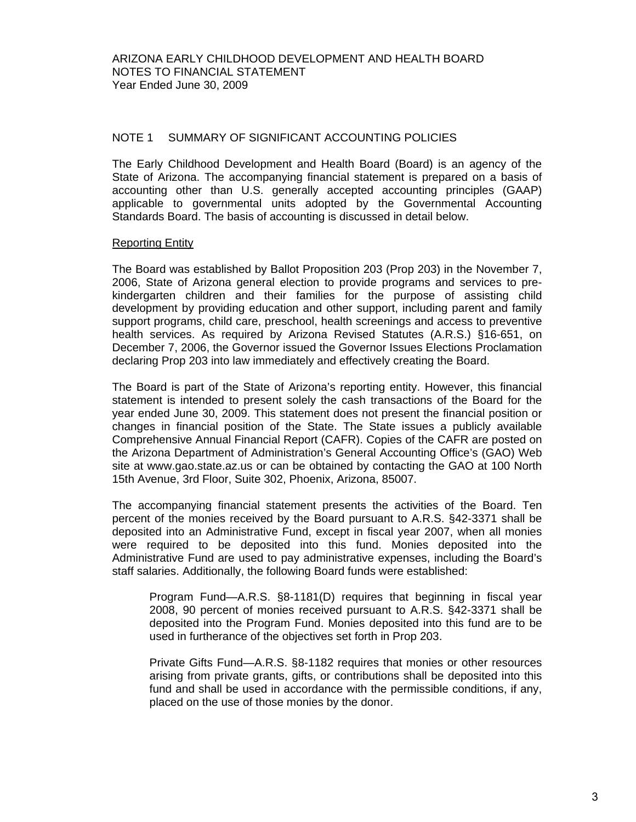#### NOTE 1 SUMMARY OF SIGNIFICANT ACCOUNTING POLICIES

The Early Childhood Development and Health Board (Board) is an agency of the State of Arizona. The accompanying financial statement is prepared on a basis of accounting other than U.S. generally accepted accounting principles (GAAP) applicable to governmental units adopted by the Governmental Accounting Standards Board. The basis of accounting is discussed in detail below.

#### Reporting Entity

The Board was established by Ballot Proposition 203 (Prop 203) in the November 7, 2006, State of Arizona general election to provide programs and services to prekindergarten children and their families for the purpose of assisting child development by providing education and other support, including parent and family support programs, child care, preschool, health screenings and access to preventive health services. As required by Arizona Revised Statutes (A.R.S.) §16-651, on December 7, 2006, the Governor issued the Governor Issues Elections Proclamation declaring Prop 203 into law immediately and effectively creating the Board.

The Board is part of the State of Arizona's reporting entity. However, this financial statement is intended to present solely the cash transactions of the Board for the year ended June 30, 2009. This statement does not present the financial position or changes in financial position of the State. The State issues a publicly available Comprehensive Annual Financial Report (CAFR). Copies of the CAFR are posted on the Arizona Department of Administration's General Accounting Office's (GAO) Web site at www.gao.state.az.us or can be obtained by contacting the GAO at 100 North 15th Avenue, 3rd Floor, Suite 302, Phoenix, Arizona, 85007.

The accompanying financial statement presents the activities of the Board. Ten percent of the monies received by the Board pursuant to A.R.S. §42-3371 shall be deposited into an Administrative Fund, except in fiscal year 2007, when all monies were required to be deposited into this fund. Monies deposited into the Administrative Fund are used to pay administrative expenses, including the Board's staff salaries. Additionally, the following Board funds were established:

Program Fund—A.R.S. §8-1181(D) requires that beginning in fiscal year 2008, 90 percent of monies received pursuant to A.R.S. §42-3371 shall be deposited into the Program Fund. Monies deposited into this fund are to be used in furtherance of the objectives set forth in Prop 203.

Private Gifts Fund—A.R.S. §8-1182 requires that monies or other resources arising from private grants, gifts, or contributions shall be deposited into this fund and shall be used in accordance with the permissible conditions, if any, placed on the use of those monies by the donor.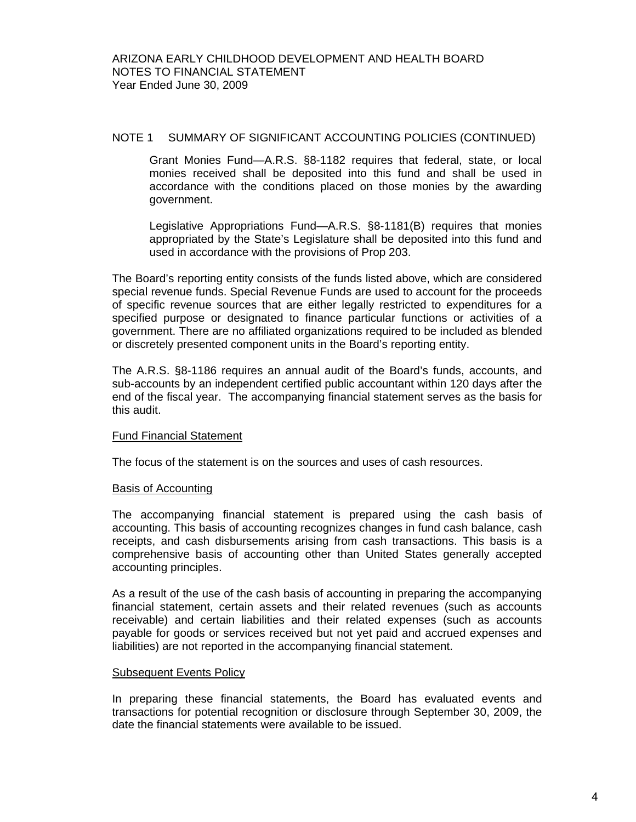### NOTE 1 SUMMARY OF SIGNIFICANT ACCOUNTING POLICIES (CONTINUED)

Grant Monies Fund—A.R.S. §8-1182 requires that federal, state, or local monies received shall be deposited into this fund and shall be used in accordance with the conditions placed on those monies by the awarding government.

Legislative Appropriations Fund—A.R.S. §8-1181(B) requires that monies appropriated by the State's Legislature shall be deposited into this fund and used in accordance with the provisions of Prop 203.

The Board's reporting entity consists of the funds listed above, which are considered special revenue funds. Special Revenue Funds are used to account for the proceeds of specific revenue sources that are either legally restricted to expenditures for a specified purpose or designated to finance particular functions or activities of a government. There are no affiliated organizations required to be included as blended or discretely presented component units in the Board's reporting entity.

The A.R.S. §8-1186 requires an annual audit of the Board's funds, accounts, and sub-accounts by an independent certified public accountant within 120 days after the end of the fiscal year. The accompanying financial statement serves as the basis for this audit.

#### Fund Financial Statement

The focus of the statement is on the sources and uses of cash resources.

#### Basis of Accounting

The accompanying financial statement is prepared using the cash basis of accounting. This basis of accounting recognizes changes in fund cash balance, cash receipts, and cash disbursements arising from cash transactions. This basis is a comprehensive basis of accounting other than United States generally accepted accounting principles.

As a result of the use of the cash basis of accounting in preparing the accompanying financial statement, certain assets and their related revenues (such as accounts receivable) and certain liabilities and their related expenses (such as accounts payable for goods or services received but not yet paid and accrued expenses and liabilities) are not reported in the accompanying financial statement.

#### Subsequent Events Policy

In preparing these financial statements, the Board has evaluated events and transactions for potential recognition or disclosure through September 30, 2009, the date the financial statements were available to be issued.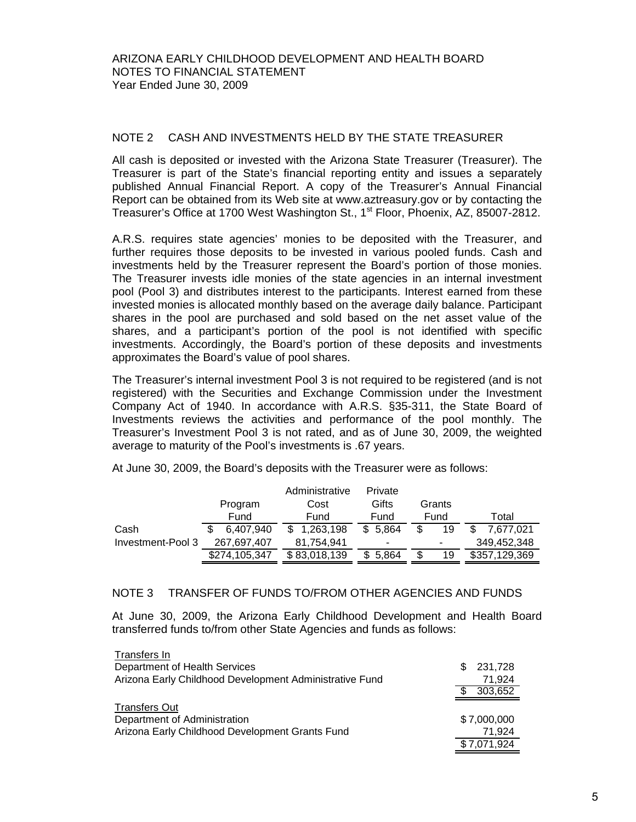### NOTE 2 CASH AND INVESTMENTS HELD BY THE STATE TREASURER

All cash is deposited or invested with the Arizona State Treasurer (Treasurer). The Treasurer is part of the State's financial reporting entity and issues a separately published Annual Financial Report. A copy of the Treasurer's Annual Financial Report can be obtained from its Web site at www.aztreasury.gov or by contacting the Treasurer's Office at 1700 West Washington St., 1<sup>st</sup> Floor, Phoenix, AZ, 85007-2812.

A.R.S. requires state agencies' monies to be deposited with the Treasurer, and further requires those deposits to be invested in various pooled funds. Cash and investments held by the Treasurer represent the Board's portion of those monies. The Treasurer invests idle monies of the state agencies in an internal investment pool (Pool 3) and distributes interest to the participants. Interest earned from these invested monies is allocated monthly based on the average daily balance. Participant shares in the pool are purchased and sold based on the net asset value of the shares, and a participant's portion of the pool is not identified with specific investments. Accordingly, the Board's portion of these deposits and investments approximates the Board's value of pool shares.

The Treasurer's internal investment Pool 3 is not required to be registered (and is not registered) with the Securities and Exchange Commission under the Investment Company Act of 1940. In accordance with A.R.S. §35-311, the State Board of Investments reviews the activities and performance of the pool monthly. The Treasurer's Investment Pool 3 is not rated, and as of June 30, 2009, the weighted average to maturity of the Pool's investments is .67 years.

|                   |               | Administrative | Private |          |               |
|-------------------|---------------|----------------|---------|----------|---------------|
|                   | Program       | Cost           | Gifts   | Grants   |               |
|                   | Fund          | Fund           | Fund    | Fund     | Total         |
| Cash              | 6.407.940     | \$1,263,198    | \$5.864 | 19<br>\$ | 7.677.021     |
| Investment-Pool 3 | 267,697,407   | 81.754.941     | ۰       | ۰        | 349,452,348   |
|                   | \$274,105,347 | \$83,018,139   | 5.864   | 19<br>\$ | \$357,129,369 |

At June 30, 2009, the Board's deposits with the Treasurer were as follows:

#### NOTE 3 TRANSFER OF FUNDS TO/FROM OTHER AGENCIES AND FUNDS

At June 30, 2009, the Arizona Early Childhood Development and Health Board transferred funds to/from other State Agencies and funds as follows:

| Transfers In                                            |                |
|---------------------------------------------------------|----------------|
| Department of Health Services                           | 231,728<br>\$. |
| Arizona Early Childhood Development Administrative Fund | 71.924         |
|                                                         | 303,652        |
| <b>Transfers Out</b>                                    |                |
| Department of Administration                            | \$7,000,000    |
| Arizona Early Childhood Development Grants Fund         | 71.924         |
|                                                         | \$7,071,924    |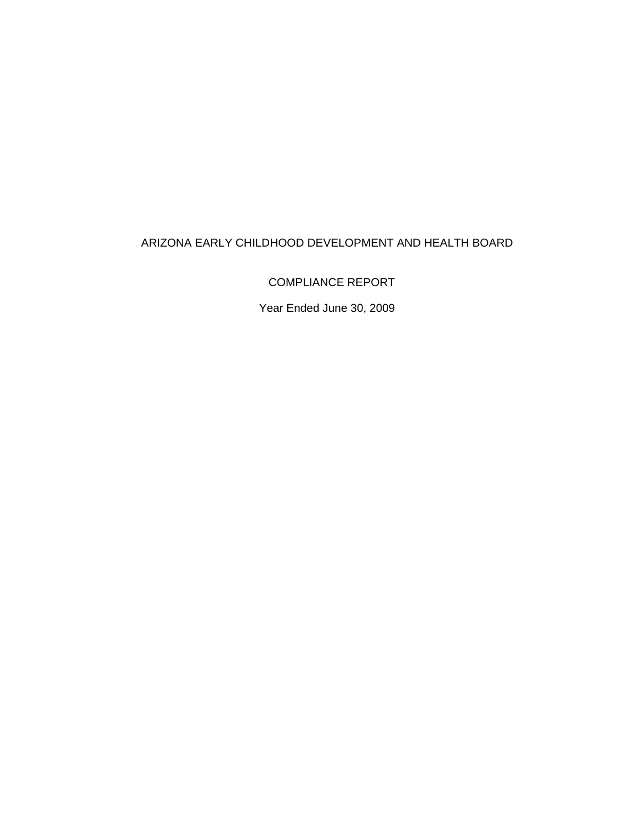# ARIZONA EARLY CHILDHOOD DEVELOPMENT AND HEALTH BOARD

COMPLIANCE REPORT

Year Ended June 30, 2009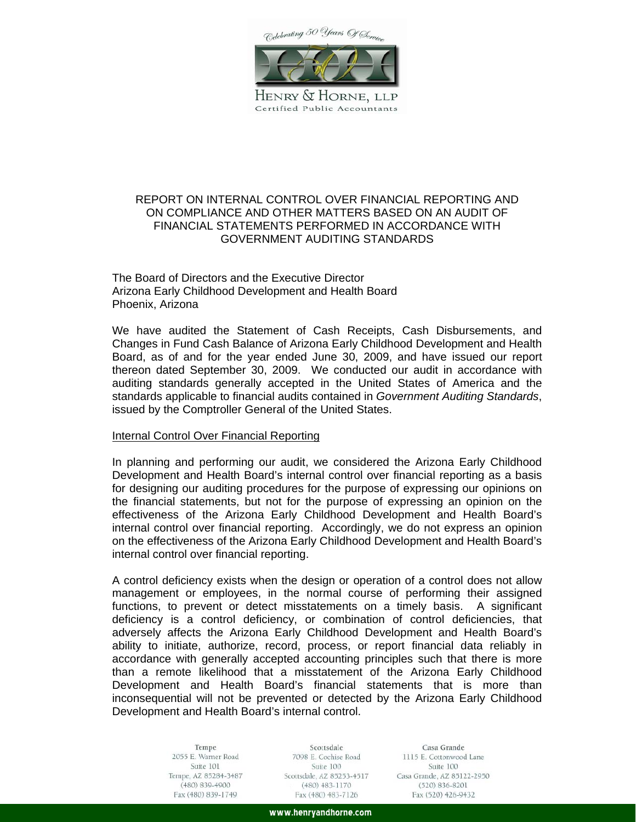Celebrating 50 Years Of Service



HENRY & HORNE, LLP Certified Public Accountants

### REPORT ON INTERNAL CONTROL OVER FINANCIAL REPORTING AND ON COMPLIANCE AND OTHER MATTERS BASED ON AN AUDIT OF FINANCIAL STATEMENTS PERFORMED IN ACCORDANCE WITH GOVERNMENT AUDITING STANDARDS

The Board of Directors and the Executive Director Arizona Early Childhood Development and Health Board Phoenix, Arizona

We have audited the Statement of Cash Receipts, Cash Disbursements, and Changes in Fund Cash Balance of Arizona Early Childhood Development and Health Board, as of and for the year ended June 30, 2009, and have issued our report thereon dated September 30, 2009. We conducted our audit in accordance with auditing standards generally accepted in the United States of America and the standards applicable to financial audits contained in *Government Auditing Standards*, issued by the Comptroller General of the United States.

#### Internal Control Over Financial Reporting

In planning and performing our audit, we considered the Arizona Early Childhood Development and Health Board's internal control over financial reporting as a basis for designing our auditing procedures for the purpose of expressing our opinions on the financial statements, but not for the purpose of expressing an opinion on the effectiveness of the Arizona Early Childhood Development and Health Board's internal control over financial reporting. Accordingly, we do not express an opinion on the effectiveness of the Arizona Early Childhood Development and Health Board's internal control over financial reporting.

A control deficiency exists when the design or operation of a control does not allow management or employees, in the normal course of performing their assigned functions, to prevent or detect misstatements on a timely basis. A significant deficiency is a control deficiency, or combination of control deficiencies, that adversely affects the Arizona Early Childhood Development and Health Board's ability to initiate, authorize, record, process, or report financial data reliably in accordance with generally accepted accounting principles such that there is more than a remote likelihood that a misstatement of the Arizona Early Childhood Development and Health Board's financial statements that is more than inconsequential will not be prevented or detected by the Arizona Early Childhood Development and Health Board's internal control.

> Tempe 2055 E. Warner Road Suite 101 Tempe, AZ 85284-3487  $(480) 839 - 4900$ Fax (480) 839-1749

Scottsdale 7098 E. Cochise Road Suite 100 Scottsdale, AZ 85253-4517  $(480)$   $483 - 1170$ Fax (480) 483-7126

Casa Grande 1115 E. Cottonwood Lane Suite 100 Casa Grande, AZ 85122-2950  $(520) 836 - 8201$ Fax (520) 426-9432

www.henryandhorne.com